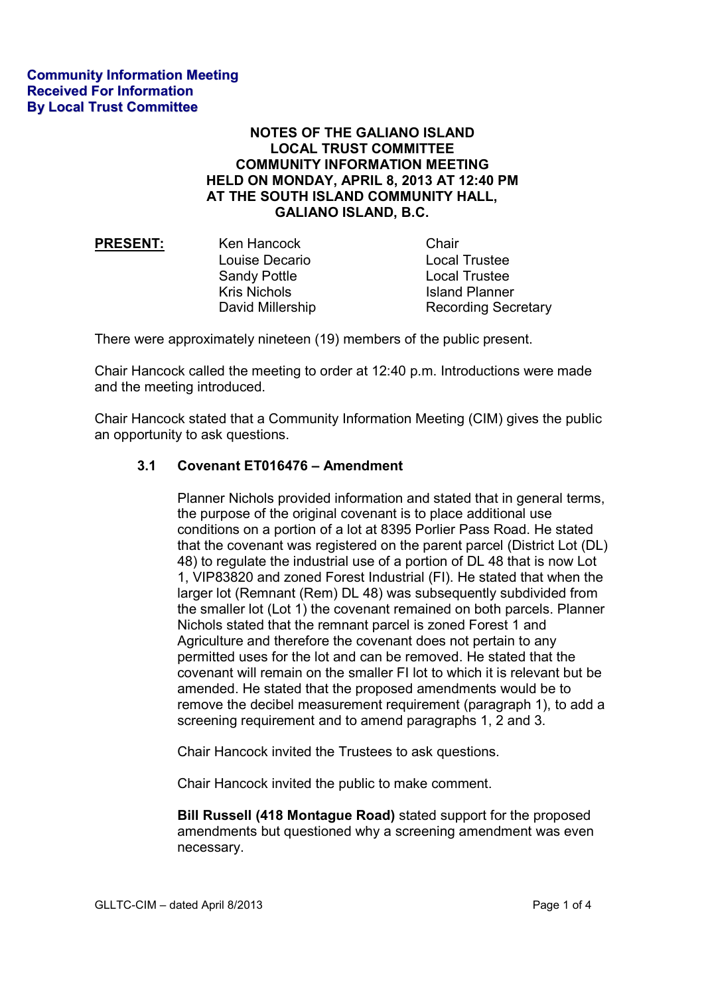## **NOTES OF THE GALIANO ISLAND LOCAL TRUST COMMITTEE COMMUNITY INFORMATION MEETING HELD ON MONDAY, APRIL 8, 2013 AT 12:40 PM AT THE SOUTH ISLAND COMMUNITY HALL, GALIANO ISLAND, B.C.**

| Ken Hancock         | Chair                      |
|---------------------|----------------------------|
| Louise Decario      | <b>Local Trustee</b>       |
| <b>Sandy Pottle</b> | <b>Local Trustee</b>       |
| <b>Kris Nichols</b> | <b>Island Planner</b>      |
| David Millership    | <b>Recording Secretary</b> |
|                     |                            |

There were approximately nineteen (19) members of the public present.

Chair Hancock called the meeting to order at 12:40 p.m. Introductions were made and the meeting introduced.

Chair Hancock stated that a Community Information Meeting (CIM) gives the public an opportunity to ask questions.

## **3.1 Covenant ET016476 – Amendment**

 Planner Nichols provided information and stated that in general terms, the purpose of the original covenant is to place additional use conditions on a portion of a lot at 8395 Porlier Pass Road. He stated that the covenant was registered on the parent parcel (District Lot (DL) 48) to regulate the industrial use of a portion of DL 48 that is now Lot 1, VIP83820 and zoned Forest Industrial (FI). He stated that when the larger lot (Remnant (Rem) DL 48) was subsequently subdivided from the smaller lot (Lot 1) the covenant remained on both parcels. Planner Nichols stated that the remnant parcel is zoned Forest 1 and Agriculture and therefore the covenant does not pertain to any permitted uses for the lot and can be removed. He stated that the covenant will remain on the smaller FI lot to which it is relevant but be amended. He stated that the proposed amendments would be to remove the decibel measurement requirement (paragraph 1), to add a screening requirement and to amend paragraphs 1, 2 and 3.

Chair Hancock invited the Trustees to ask questions.

Chair Hancock invited the public to make comment.

**Bill Russell (418 Montague Road)** stated support for the proposed amendments but questioned why a screening amendment was even necessary.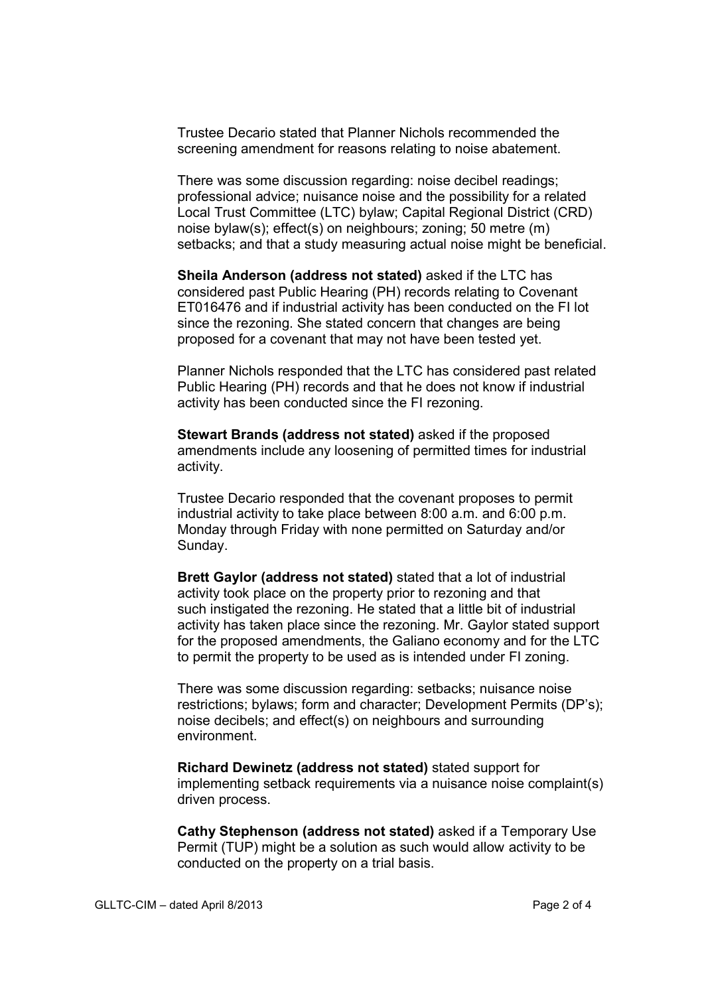Trustee Decario stated that Planner Nichols recommended the screening amendment for reasons relating to noise abatement.

There was some discussion regarding: noise decibel readings; professional advice; nuisance noise and the possibility for a related Local Trust Committee (LTC) bylaw; Capital Regional District (CRD) noise bylaw(s); effect(s) on neighbours; zoning; 50 metre (m) setbacks; and that a study measuring actual noise might be beneficial.

 **Sheila Anderson (address not stated)** asked if the LTC has considered past Public Hearing (PH) records relating to Covenant ET016476 and if industrial activity has been conducted on the FI lot since the rezoning. She stated concern that changes are being proposed for a covenant that may not have been tested yet.

 Planner Nichols responded that the LTC has considered past related Public Hearing (PH) records and that he does not know if industrial activity has been conducted since the FI rezoning.

 **Stewart Brands (address not stated)** asked if the proposed amendments include any loosening of permitted times for industrial activity.

 Trustee Decario responded that the covenant proposes to permit industrial activity to take place between 8:00 a.m. and 6:00 p.m. Monday through Friday with none permitted on Saturday and/or Sunday.

 **Brett Gaylor (address not stated)** stated that a lot of industrial activity took place on the property prior to rezoning and that such instigated the rezoning. He stated that a little bit of industrial activity has taken place since the rezoning. Mr. Gaylor stated support for the proposed amendments, the Galiano economy and for the LTC to permit the property to be used as is intended under FI zoning.

 There was some discussion regarding: setbacks; nuisance noise restrictions; bylaws; form and character; Development Permits (DP's); noise decibels; and effect(s) on neighbours and surrounding environment.

 **Richard Dewinetz (address not stated)** stated support for implementing setback requirements via a nuisance noise complaint(s) driven process.

 **Cathy Stephenson (address not stated)** asked if a Temporary Use Permit (TUP) might be a solution as such would allow activity to be conducted on the property on a trial basis.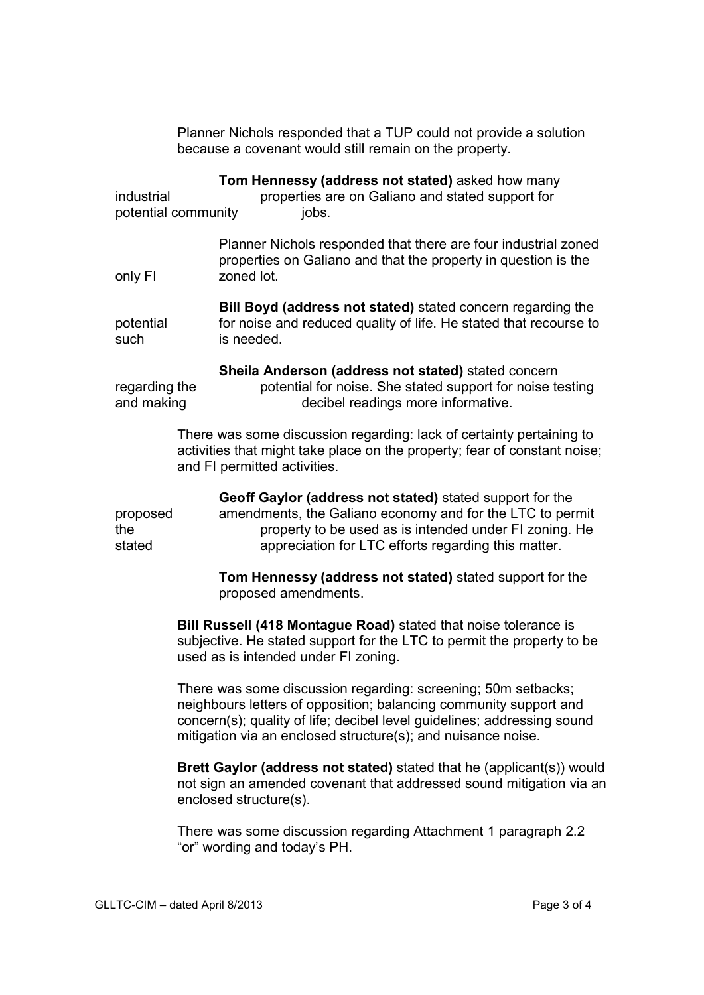|                                   | Planner Nichols responded that a TUP could not provide a solution<br>because a covenant would still remain on the property.                                                                                                                                                   |
|-----------------------------------|-------------------------------------------------------------------------------------------------------------------------------------------------------------------------------------------------------------------------------------------------------------------------------|
| industrial<br>potential community | Tom Hennessy (address not stated) asked how many<br>properties are on Galiano and stated support for<br>jobs.                                                                                                                                                                 |
| only FI                           | Planner Nichols responded that there are four industrial zoned<br>properties on Galiano and that the property in question is the<br>zoned lot.                                                                                                                                |
| potential<br>such                 | Bill Boyd (address not stated) stated concern regarding the<br>for noise and reduced quality of life. He stated that recourse to<br>is needed.                                                                                                                                |
| regarding the<br>and making       | Sheila Anderson (address not stated) stated concern<br>potential for noise. She stated support for noise testing<br>decibel readings more informative.                                                                                                                        |
|                                   | There was some discussion regarding: lack of certainty pertaining to<br>activities that might take place on the property; fear of constant noise;<br>and FI permitted activities.                                                                                             |
| proposed<br>the<br>stated         | Geoff Gaylor (address not stated) stated support for the<br>amendments, the Galiano economy and for the LTC to permit<br>property to be used as is intended under FI zoning. He<br>appreciation for LTC efforts regarding this matter.                                        |
|                                   | Tom Hennessy (address not stated) stated support for the<br>proposed amendments.                                                                                                                                                                                              |
|                                   | Bill Russell (418 Montague Road) stated that noise tolerance is<br>subjective. He stated support for the LTC to permit the property to be<br>used as is intended under FI zoning.                                                                                             |
|                                   | There was some discussion regarding: screening; 50m setbacks;<br>neighbours letters of opposition; balancing community support and<br>concern(s); quality of life; decibel level guidelines; addressing sound<br>mitigation via an enclosed structure(s); and nuisance noise. |
|                                   | Brett Gaylor (address not stated) stated that he (applicant(s)) would<br>not sign an amended covenant that addressed sound mitigation via an<br>enclosed structure(s).                                                                                                        |
|                                   | There was some discussion regarding Attachment 1 paragraph 2.2<br>"or" wording and today's PH.                                                                                                                                                                                |